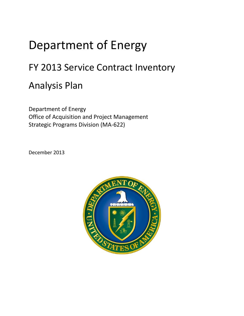## Department of Energy

## FY 2013 Service Contract Inventory

## Analysis Plan

Office of Acquisition and Project Management<br>Strategic Programs Division (MA-622) Department of Energy

December 2013